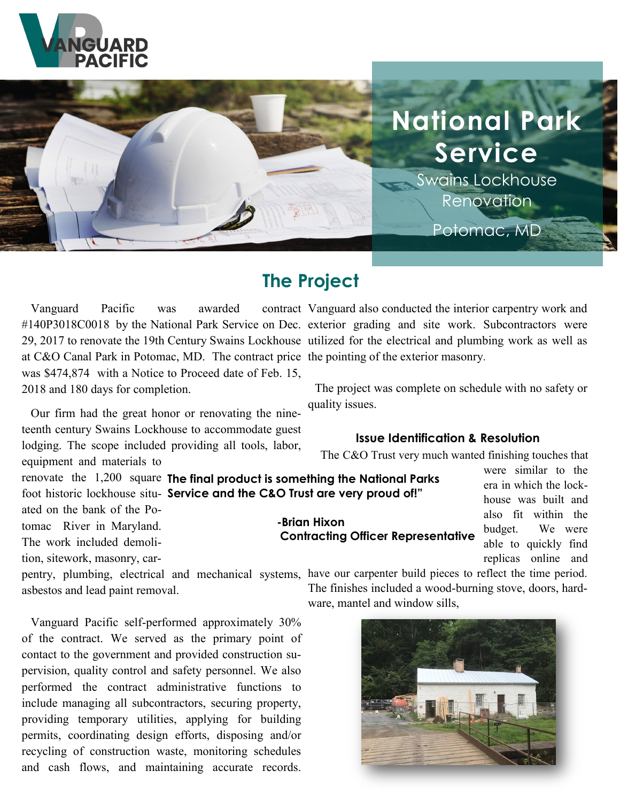



# **The Project**

Vanguard Pacific was awarded at C&O Canal Park in Potomac, MD. The contract price the pointing of the exterior masonry. was \$474,874 with a Notice to Proceed date of Feb. 15, 2018 and 180 days for completion.

 Our firm had the great honor or renovating the nineteenth century Swains Lockhouse to accommodate guest lodging. The scope included providing all tools, labor, equipment and materials to

ated on the bank of the Potomac River in Maryland.

The work included demoli-

tion, sitework, masonry, car-

#140P3018C0018 by the National Park Service on Dec. exterior grading and site work. Subcontractors were 29, 2017 to renovate the 19th Century Swains Lockhouse utilized for the electrical and plumbing work as well as contract Vanguard also conducted the interior carpentry work and

> The project was complete on schedule with no safety or quality issues.

#### **Issue Identification & Resolution**

The C&O Trust very much wanted finishing touches that

renovate the 1,200 square **The final product is something the National Parks**  foot historic lockhouse situ-**Service and the C&O Trust are very proud of!"**

**-Brian Hixon Contracting Officer Representative**

were similar to the era in which the lockhouse was built and also fit within the budget. We were able to quickly find replicas online and

pentry, plumbing, electrical and mechanical systems, have our carpenter build pieces to reflect the time period. asbestos and lead paint removal.

 Vanguard Pacific self-performed approximately 30% of the contract. We served as the primary point of contact to the government and provided construction supervision, quality control and safety personnel. We also performed the contract administrative functions to include managing all subcontractors, securing property, providing temporary utilities, applying for building permits, coordinating design efforts, disposing and/or recycling of construction waste, monitoring schedules and cash flows, and maintaining accurate records.

The finishes included a wood-burning stove, doors, hardware, mantel and window sills,